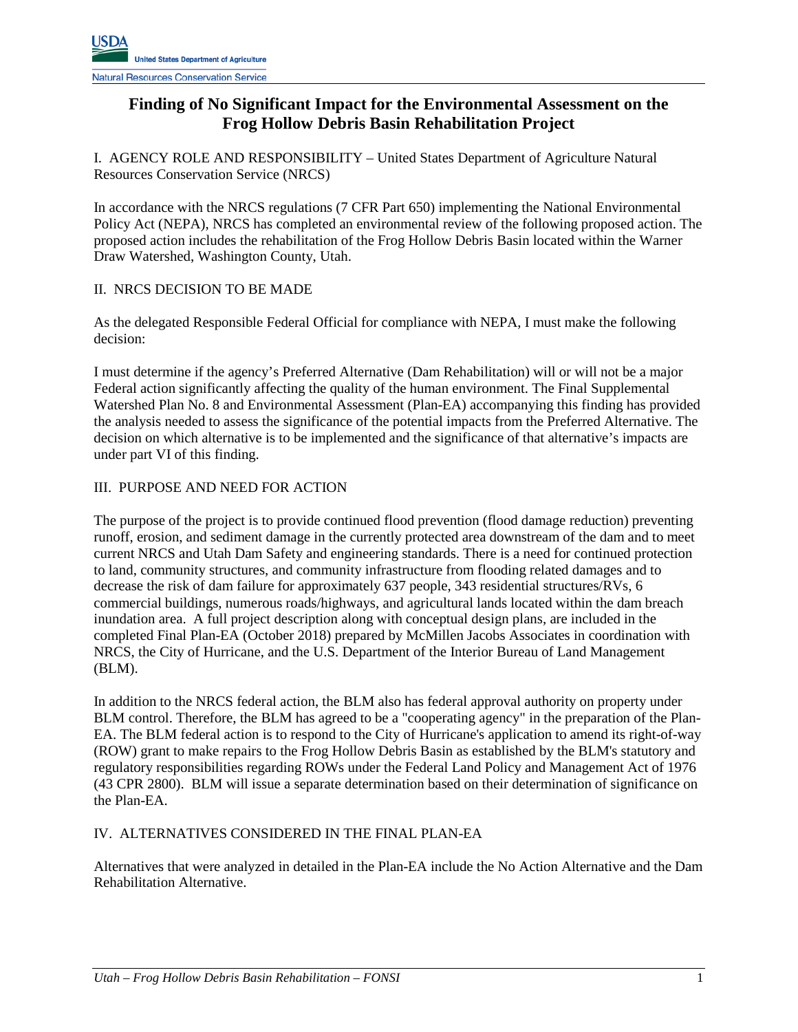## **Finding of No Significant Impact for the Environmental Assessment on the Frog Hollow Debris Basin Rehabilitation Project**

I. AGENCY ROLE AND RESPONSIBILITY – United States Department of Agriculture Natural Resources Conservation Service (NRCS)

In accordance with the NRCS regulations (7 CFR Part 650) implementing the National Environmental Policy Act (NEPA), NRCS has completed an environmental review of the following proposed action. The proposed action includes the rehabilitation of the Frog Hollow Debris Basin located within the Warner Draw Watershed, Washington County, Utah.

#### II. NRCS DECISION TO BE MADE

As the delegated Responsible Federal Official for compliance with NEPA, I must make the following decision:

I must determine if the agency's Preferred Alternative (Dam Rehabilitation) will or will not be a major Federal action significantly affecting the quality of the human environment. The Final Supplemental Watershed Plan No. 8 and Environmental Assessment (Plan-EA) accompanying this finding has provided the analysis needed to assess the significance of the potential impacts from the Preferred Alternative. The decision on which alternative is to be implemented and the significance of that alternative's impacts are under part VI of this finding.

## III. PURPOSE AND NEED FOR ACTION

The purpose of the project is to provide continued flood prevention (flood damage reduction) preventing runoff, erosion, and sediment damage in the currently protected area downstream of the dam and to meet current NRCS and Utah Dam Safety and engineering standards. There is a need for continued protection to land, community structures, and community infrastructure from flooding related damages and to decrease the risk of dam failure for approximately 637 people, 343 residential structures/RVs, 6 commercial buildings, numerous roads/highways, and agricultural lands located within the dam breach inundation area. A full project description along with conceptual design plans, are included in the completed Final Plan-EA (October 2018) prepared by McMillen Jacobs Associates in coordination with NRCS, the City of Hurricane, and the U.S. Department of the Interior Bureau of Land Management (BLM).

In addition to the NRCS federal action, the BLM also has federal approval authority on property under BLM control. Therefore, the BLM has agreed to be a "cooperating agency" in the preparation of the Plan-EA. The BLM federal action is to respond to the City of Hurricane's application to amend its right-of-way (ROW) grant to make repairs to the Frog Hollow Debris Basin as established by the BLM's statutory and regulatory responsibilities regarding ROWs under the Federal Land Policy and Management Act of 1976 (43 CPR 2800). BLM will issue a separate determination based on their determination of significance on the Plan-EA.

#### IV. ALTERNATIVES CONSIDERED IN THE FINAL PLAN-EA

Alternatives that were analyzed in detailed in the Plan-EA include the No Action Alternative and the Dam Rehabilitation Alternative.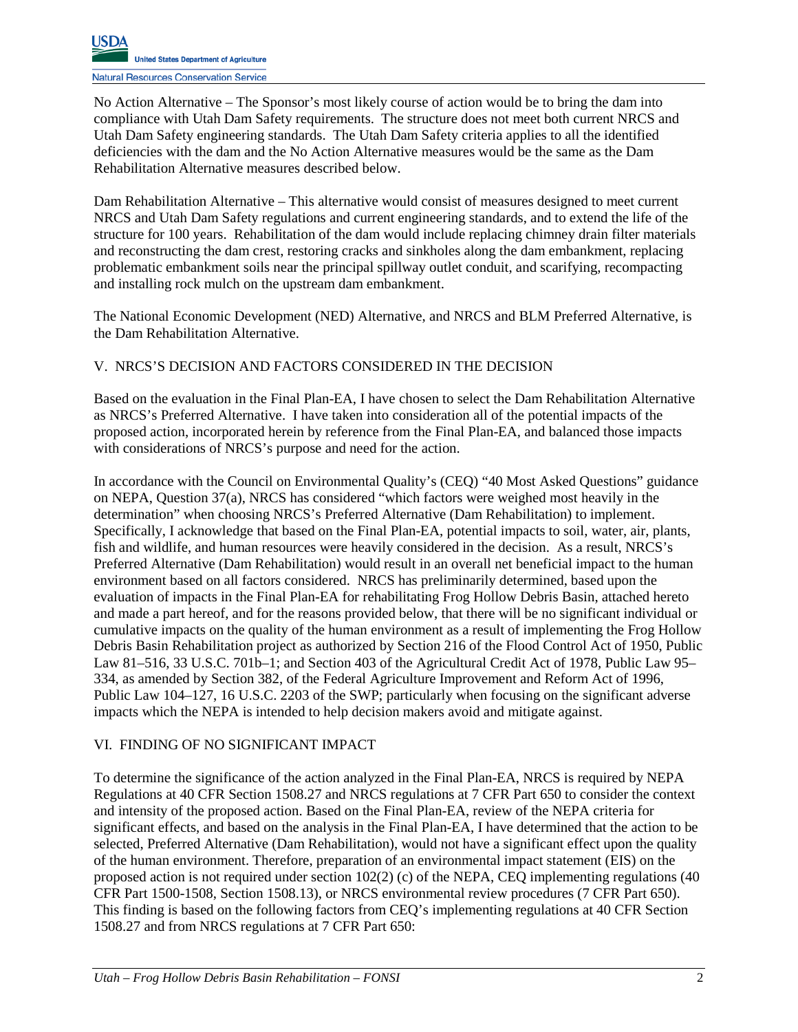No Action Alternative – The Sponsor's most likely course of action would be to bring the dam into compliance with Utah Dam Safety requirements. The structure does not meet both current NRCS and Utah Dam Safety engineering standards. The Utah Dam Safety criteria applies to all the identified deficiencies with the dam and the No Action Alternative measures would be the same as the Dam Rehabilitation Alternative measures described below.

Dam Rehabilitation Alternative – This alternative would consist of measures designed to meet current NRCS and Utah Dam Safety regulations and current engineering standards, and to extend the life of the structure for 100 years. Rehabilitation of the dam would include replacing chimney drain filter materials and reconstructing the dam crest, restoring cracks and sinkholes along the dam embankment, replacing problematic embankment soils near the principal spillway outlet conduit, and scarifying, recompacting and installing rock mulch on the upstream dam embankment.

The National Economic Development (NED) Alternative, and NRCS and BLM Preferred Alternative, is the Dam Rehabilitation Alternative.

## V. NRCS'S DECISION AND FACTORS CONSIDERED IN THE DECISION

Based on the evaluation in the Final Plan-EA, I have chosen to select the Dam Rehabilitation Alternative as NRCS's Preferred Alternative. I have taken into consideration all of the potential impacts of the proposed action, incorporated herein by reference from the Final Plan-EA, and balanced those impacts with considerations of NRCS's purpose and need for the action.

In accordance with the Council on Environmental Quality's (CEQ) "40 Most Asked Questions" guidance on NEPA, Question 37(a), NRCS has considered "which factors were weighed most heavily in the determination" when choosing NRCS's Preferred Alternative (Dam Rehabilitation) to implement. Specifically, I acknowledge that based on the Final Plan-EA, potential impacts to soil, water, air, plants, fish and wildlife, and human resources were heavily considered in the decision. As a result, NRCS's Preferred Alternative (Dam Rehabilitation) would result in an overall net beneficial impact to the human environment based on all factors considered. NRCS has preliminarily determined, based upon the evaluation of impacts in the Final Plan-EA for rehabilitating Frog Hollow Debris Basin, attached hereto and made a part hereof, and for the reasons provided below, that there will be no significant individual or cumulative impacts on the quality of the human environment as a result of implementing the Frog Hollow Debris Basin Rehabilitation project as authorized by Section 216 of the Flood Control Act of 1950, Public Law 81–516, 33 U.S.C. 701b–1; and Section 403 of the Agricultural Credit Act of 1978, Public Law 95– 334, as amended by Section 382, of the Federal Agriculture Improvement and Reform Act of 1996, Public Law 104–127, 16 U.S.C. 2203 of the SWP; particularly when focusing on the significant adverse impacts which the NEPA is intended to help decision makers avoid and mitigate against.

## VI. FINDING OF NO SIGNIFICANT IMPACT

To determine the significance of the action analyzed in the Final Plan-EA, NRCS is required by NEPA Regulations at 40 CFR Section 1508.27 and NRCS regulations at 7 CFR Part 650 to consider the context and intensity of the proposed action. Based on the Final Plan-EA, review of the NEPA criteria for significant effects, and based on the analysis in the Final Plan-EA, I have determined that the action to be selected, Preferred Alternative (Dam Rehabilitation), would not have a significant effect upon the quality of the human environment. Therefore, preparation of an environmental impact statement (EIS) on the proposed action is not required under section  $102(2)$  (c) of the NEPA, CEQ implementing regulations (40 CFR Part 1500-1508, Section 1508.13), or NRCS environmental review procedures (7 CFR Part 650). This finding is based on the following factors from CEQ's implementing regulations at 40 CFR Section 1508.27 and from NRCS regulations at 7 CFR Part 650: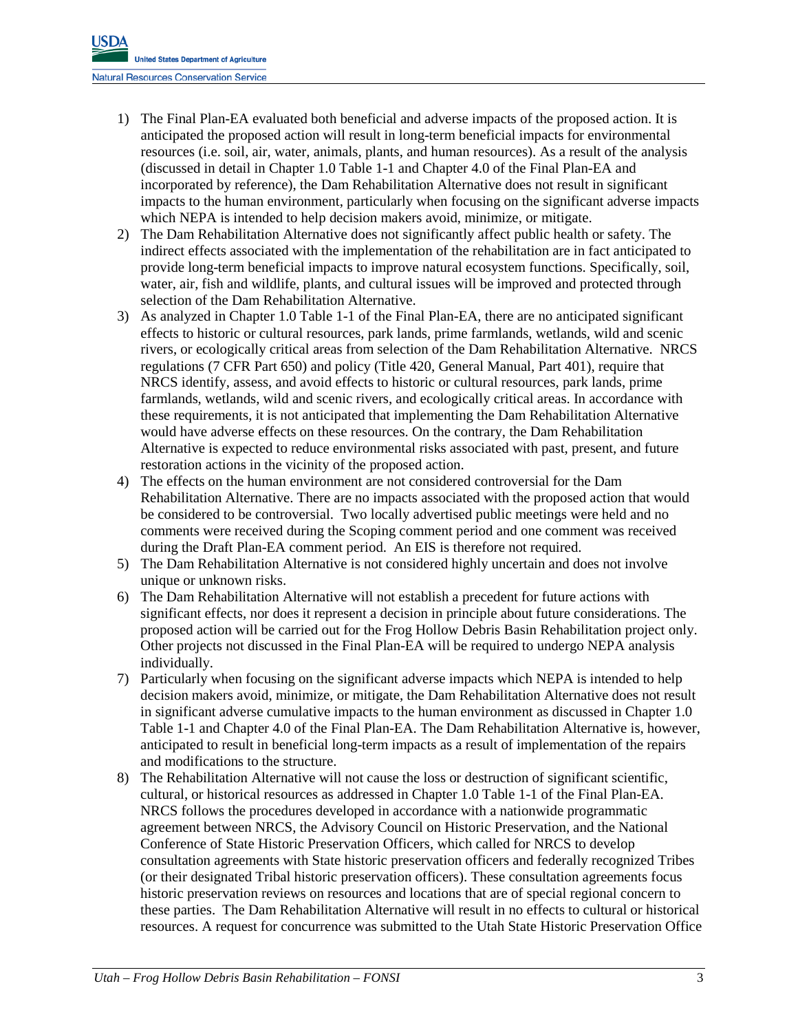- 1) The Final Plan-EA evaluated both beneficial and adverse impacts of the proposed action. It is anticipated the proposed action will result in long-term beneficial impacts for environmental resources (i.e. soil, air, water, animals, plants, and human resources). As a result of the analysis (discussed in detail in Chapter 1.0 Table 1-1 and Chapter 4.0 of the Final Plan-EA and incorporated by reference), the Dam Rehabilitation Alternative does not result in significant impacts to the human environment, particularly when focusing on the significant adverse impacts which NEPA is intended to help decision makers avoid, minimize, or mitigate.
- 2) The Dam Rehabilitation Alternative does not significantly affect public health or safety. The indirect effects associated with the implementation of the rehabilitation are in fact anticipated to provide long-term beneficial impacts to improve natural ecosystem functions. Specifically, soil, water, air, fish and wildlife, plants, and cultural issues will be improved and protected through selection of the Dam Rehabilitation Alternative.
- 3) As analyzed in Chapter 1.0 Table 1-1 of the Final Plan-EA, there are no anticipated significant effects to historic or cultural resources, park lands, prime farmlands, wetlands, wild and scenic rivers, or ecologically critical areas from selection of the Dam Rehabilitation Alternative. NRCS regulations (7 CFR Part 650) and policy (Title 420, General Manual, Part 401), require that NRCS identify, assess, and avoid effects to historic or cultural resources, park lands, prime farmlands, wetlands, wild and scenic rivers, and ecologically critical areas. In accordance with these requirements, it is not anticipated that implementing the Dam Rehabilitation Alternative would have adverse effects on these resources. On the contrary, the Dam Rehabilitation Alternative is expected to reduce environmental risks associated with past, present, and future restoration actions in the vicinity of the proposed action.
- 4) The effects on the human environment are not considered controversial for the Dam Rehabilitation Alternative. There are no impacts associated with the proposed action that would be considered to be controversial. Two locally advertised public meetings were held and no comments were received during the Scoping comment period and one comment was received during the Draft Plan-EA comment period. An EIS is therefore not required.
- 5) The Dam Rehabilitation Alternative is not considered highly uncertain and does not involve unique or unknown risks.
- 6) The Dam Rehabilitation Alternative will not establish a precedent for future actions with significant effects, nor does it represent a decision in principle about future considerations. The proposed action will be carried out for the Frog Hollow Debris Basin Rehabilitation project only. Other projects not discussed in the Final Plan-EA will be required to undergo NEPA analysis individually.
- 7) Particularly when focusing on the significant adverse impacts which NEPA is intended to help decision makers avoid, minimize, or mitigate, the Dam Rehabilitation Alternative does not result in significant adverse cumulative impacts to the human environment as discussed in Chapter 1.0 Table 1-1 and Chapter 4.0 of the Final Plan-EA. The Dam Rehabilitation Alternative is, however, anticipated to result in beneficial long-term impacts as a result of implementation of the repairs and modifications to the structure.
- 8) The Rehabilitation Alternative will not cause the loss or destruction of significant scientific, cultural, or historical resources as addressed in Chapter 1.0 Table 1-1 of the Final Plan-EA. NRCS follows the procedures developed in accordance with a nationwide programmatic agreement between NRCS, the Advisory Council on Historic Preservation, and the National Conference of State Historic Preservation Officers, which called for NRCS to develop consultation agreements with State historic preservation officers and federally recognized Tribes (or their designated Tribal historic preservation officers). These consultation agreements focus historic preservation reviews on resources and locations that are of special regional concern to these parties. The Dam Rehabilitation Alternative will result in no effects to cultural or historical resources. A request for concurrence was submitted to the Utah State Historic Preservation Office